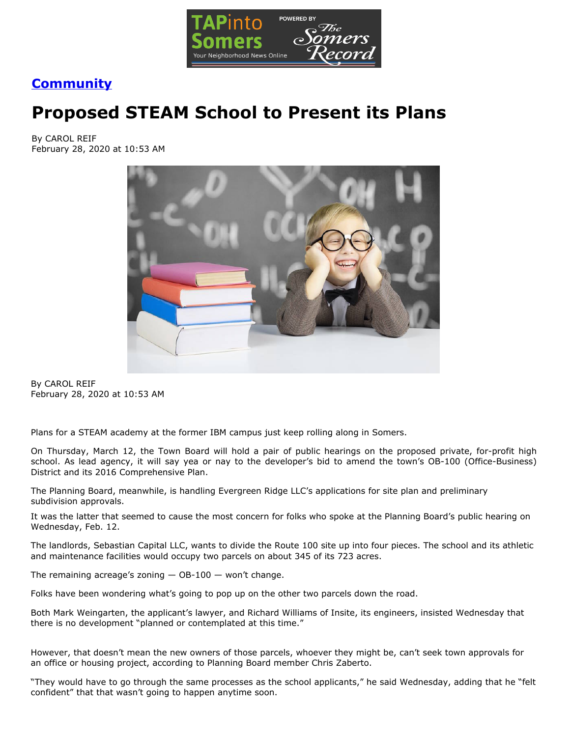

## **[Community](https://www.tapinto.net/towns/somers/sections/community)**

## **Proposed STEAM School to Present its Plans**

By CAROL REIF February 28, 2020 at 10:53 AM



By CAROL REIF February 28, 2020 at 10:53 AM

Plans for a STEAM academy at the former IBM campus just keep rolling along in Somers.

On Thursday, March 12, the Town Board will hold a pair of public hearings on the proposed private, for-profit high school. As lead agency, it will say yea or nay to the developer's bid to amend the town's OB-100 (Office-Business) District and its 2016 Comprehensive Plan.

The Planning Board, meanwhile, is handling Evergreen Ridge LLC's applications for site plan and preliminary subdivision approvals.

It was the latter that seemed to cause the most concern for folks who spoke at the Planning Board's public hearing on Wednesday, Feb. 12.

The landlords, Sebastian Capital LLC, wants to divide the Route 100 site up into four pieces. The school and its athletic and maintenance facilities would occupy two parcels on about 345 of its 723 acres.

The remaining acreage's zoning  $-$  OB-100  $-$  won't change.

Folks have been wondering what's going to pop up on the other two parcels down the road.

Both Mark Weingarten, the applicant's lawyer, and Richard Williams of Insite, its engineers, insisted Wednesday that there is no development "planned or contemplated at this time."

However, that doesn't mean the new owners of those parcels, whoever they might be, can't seek town approvals for an office or housing project, according to Planning Board member Chris Zaberto.

"They would have to go through the same processes as the school applicants," he said Wednesday, adding that he "felt confident" that that wasn't going to happen anytime soon.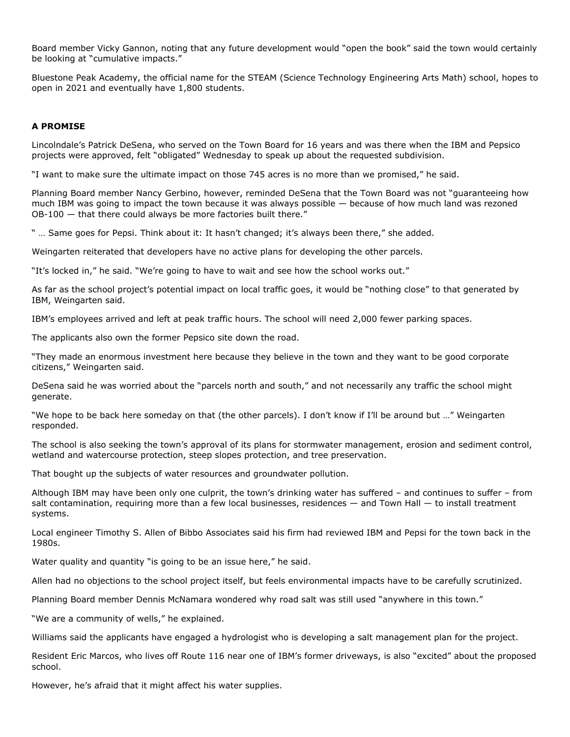Board member Vicky Gannon, noting that any future development would "open the book" said the town would certainly be looking at "cumulative impacts."

Bluestone Peak Academy, the official name for the STEAM (Science Technology Engineering Arts Math) school, hopes to open in 2021 and eventually have 1,800 students.

## **A PROMISE**

Lincolndale's Patrick DeSena, who served on the Town Board for 16 years and was there when the IBM and Pepsico projects were approved, felt "obligated" Wednesday to speak up about the requested subdivision.

"I want to make sure the ultimate impact on those 745 acres is no more than we promised," he said.

Planning Board member Nancy Gerbino, however, reminded DeSena that the Town Board was not "guaranteeing how much IBM was going to impact the town because it was always possible — because of how much land was rezoned OB-100 — that there could always be more factories built there."

" … Same goes for Pepsi. Think about it: It hasn't changed; it's always been there," she added.

Weingarten reiterated that developers have no active plans for developing the other parcels.

"It's locked in," he said. "We're going to have to wait and see how the school works out."

As far as the school project's potential impact on local traffic goes, it would be "nothing close" to that generated by IBM, Weingarten said.

IBM's employees arrived and left at peak traffic hours. The school will need 2,000 fewer parking spaces.

The applicants also own the former Pepsico site down the road.

"They made an enormous investment here because they believe in the town and they want to be good corporate citizens," Weingarten said.

DeSena said he was worried about the "parcels north and south," and not necessarily any traffic the school might generate.

"We hope to be back here someday on that (the other parcels). I don't know if I'll be around but …" Weingarten responded.

The school is also seeking the town's approval of its plans for stormwater management, erosion and sediment control, wetland and watercourse protection, steep slopes protection, and tree preservation.

That bought up the subjects of water resources and groundwater pollution.

Although IBM may have been only one culprit, the town's drinking water has suffered – and continues to suffer – from salt contamination, requiring more than a few local businesses, residences — and Town Hall — to install treatment systems.

Local engineer Timothy S. Allen of Bibbo Associates said his firm had reviewed IBM and Pepsi for the town back in the 1980s.

Water quality and quantity "is going to be an issue here," he said.

Allen had no objections to the school project itself, but feels environmental impacts have to be carefully scrutinized.

Planning Board member Dennis McNamara wondered why road salt was still used "anywhere in this town."

"We are a community of wells," he explained.

Williams said the applicants have engaged a hydrologist who is developing a salt management plan for the project.

Resident Eric Marcos, who lives off Route 116 near one of IBM's former driveways, is also "excited" about the proposed school.

However, he's afraid that it might affect his water supplies.